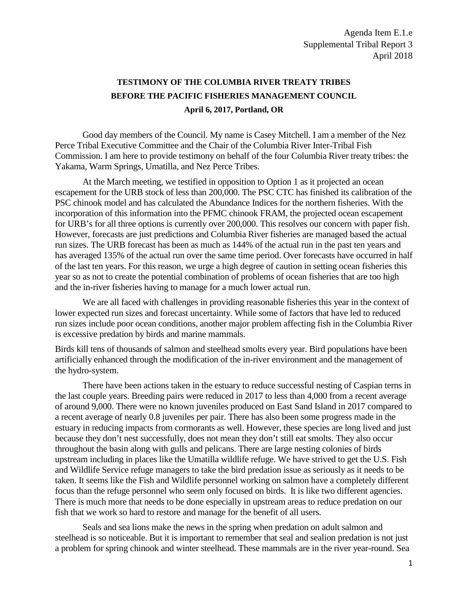## **TESTIMONY OF THE COLUMBIA RIVER TREATY TRIBES BEFORE THE PACIFIC FISHERIES MANAGEMENT COUNCIL April 6, 2017, Portland, OR**

Good day members of the Council. My name is Casey Mitchell. I am a member of the Nez Perce Tribal Executive Committee and the Chair of the Columbia River Inter-Tribal Fish Commission. I am here to provide testimony on behalf of the four Columbia River treaty tribes: the Yakama, Warm Springs, Umatilla, and Nez Perce Tribes.

At the March meeting, we testified in opposition to Option 1 as it projected an ocean escapement for the URB stock of less than 200,000. The PSC CTC has finished its calibration of the PSC chinook model and has calculated the Abundance Indices for the northern fisheries. With the incorporation of this information into the PFMC chinook FRAM, the projected ocean escapement for URB's for all three options is currently over 200,000. This resolves our concern with paper fish. However, forecasts are just predictions and Columbia River fisheries are managed based the actual run sizes. The URB forecast has been as much as 144% of the actual run in the past ten years and has averaged 135% of the actual run over the same time period. Over forecasts have occurred in half of the last ten years. For this reason, we urge a high degree of caution in setting ocean fisheries this year so as not to create the potential combination of problems of ocean fisheries that are too high and the in-river fisheries having to manage for a much lower actual run.

We are all faced with challenges in providing reasonable fisheries this year in the context of lower expected run sizes and forecast uncertainty. While some of factors that have led to reduced run sizes include poor ocean conditions, another major problem affecting fish in the Columbia River is excessive predation by birds and marine mammals.

Birds kill tens of thousands of salmon and steelhead smolts every year. Bird populations have been artificially enhanced through the modification of the in-river environment and the management of the hydro-system.

There have been actions taken in the estuary to reduce successful nesting of Caspian terns in the last couple years. Breeding pairs were reduced in 2017 to less than 4,000 from a recent average of around 9,000. There were no known juveniles produced on East Sand Island in 2017 compared to a recent average of nearly 0.8 juveniles per pair. There has also been some progress made in the estuary in reducing impacts from cormorants as well. However, these species are long lived and just because they don't nest successfully, does not mean they don't still eat smolts. They also occur throughout the basin along with gulls and pelicans. There are large nesting colonies of birds upstream including in places like the Umatilla wildlife refuge. We have strived to get the U.S. Fish and Wildlife Service refuge managers to take the bird predation issue as seriously as it needs to be taken. It seems like the Fish and Wildlife personnel working on salmon have a completely different focus than the refuge personnel who seem only focused on birds. It is like two different agencies. There is much more that needs to be done especially in upstream areas to reduce predation on our fish that we work so hard to restore and manage for the benefit of all users.

Seals and sea lions make the news in the spring when predation on adult salmon and steelhead is so noticeable. But it is important to remember that seal and sealion predation is not just a problem for spring chinook and winter steelhead. These mammals are in the river year-round. Sea